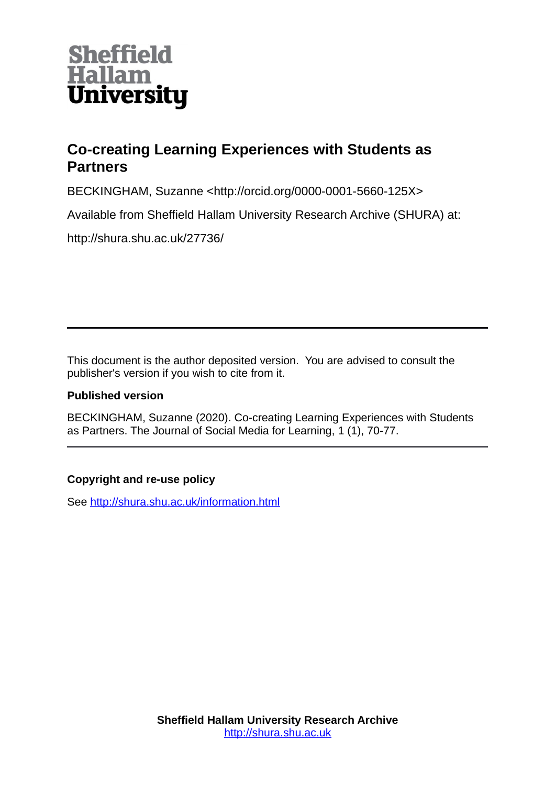

## **Co-creating Learning Experiences with Students as Partners**

BECKINGHAM, Suzanne <http://orcid.org/0000-0001-5660-125X>

Available from Sheffield Hallam University Research Archive (SHURA) at:

http://shura.shu.ac.uk/27736/

This document is the author deposited version. You are advised to consult the publisher's version if you wish to cite from it.

### **Published version**

BECKINGHAM, Suzanne (2020). Co-creating Learning Experiences with Students as Partners. The Journal of Social Media for Learning, 1 (1), 70-77.

## **Copyright and re-use policy**

See<http://shura.shu.ac.uk/information.html>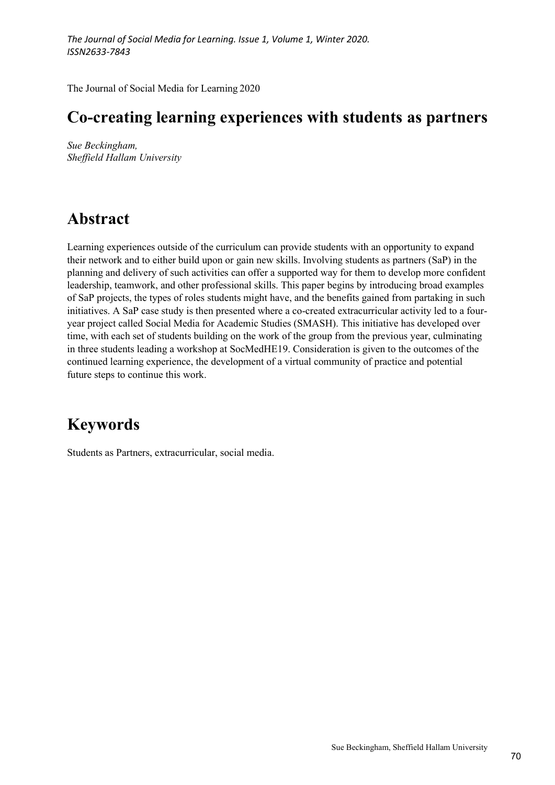# The Journal of Social Media for Learning. Issue 1, Volume 1, Winter 2020.<br>ISSN2633-7843<br>The Journal of Social Media for Learning 2020<br>**Co-creating learning experiences with students as partners**<br>Sue Beckingham, The Journal of Social Media for Learning. Issue 1, Volume 1, Winter 2020.<br>ISSN2633-7843<br>The Journal of Social Media for Learning 2020<br>**Co-creating learning experiences with students as partners**<br>Sue Beckingham,<br>Sheffield H

Sue Beckingham, Sheffield Hallam University

## Abstract

Learning experiences outside of the curriculum can provide students with an opportunity to expand The Journal of Social Media for Learning. Issue 1, Volume 1, Winter 2020.<br>
ISSN2633-7843<br>
The Journal of Social Media for Learning 2020<br> **CO-creating learning experiences with students as partners**<br>
Since Beckingham,<br>
Shef The Journal of Social Media for Learning. Issue 1, Volume 1, Winter 2020.<br>
ISSN2633-7843<br>
The Journal of Social Media for Learning 2020<br> **CO-creating learning experiences with students as partners**<br>
Since Beckingham,<br>
Shef 155M2633-7843<br>
The Journal of Social Media for Learning 2020<br> **CO-creating learning experiences with students as partners**<br>
Sheffield Hallam University<br>
Sheffield Hallam University<br>
Abstract<br>
Learning experiences outside The Journal of Social Media for Learning 2020<br> **Co-creating learning experiences with students as partners**<br>
Sue Beckingham,<br>
Sheffield Hallam University<br>
Learning experiences outside of the curriculum can provide students The Journal of Social Media for Learning 2020<br> **Co-creating learning experiences with students as partners**<br>
Sue Reckingham,<br>
Sheffield Hallam University<br>
Learning experiences outside of the curriculum can provide students The Journal of Social Media for Learning 2020<br> **Co-creating learning experiences with students as partners**<br>
Sheffield Hallam University<br>
Sheffield Hallam University<br>
Learning experiences outside of the curriculum can prov **Co-creating learning experiences with students as partners**<br>Sue Beckingham,<br>Sheffield Italiam University<br>**Abstract**<br>Learning experiences outside of the curriculum can provide students with an opportunity to expand<br>their r in three students leading a workshop at SocMedHE19. Consideration is given to the outcomes of the **Co-Cricating idear inity dependences with statuties as partners**<br>Since Beckingham,<br>Sheffield Hallam University<br>Learning experiences outside of the curriculum can provide students with an opportunity to expand<br>their netwo Sue Beckingham,<br>
Sheffield Hallam University<br>
Sheffield Hallam University<br>
Learning experiences outside of the curriculum can provide students with an opportunite<br>
their network and to either build upon or gain new skills.

# Keywords

Students as Partners, extracurricular, social media.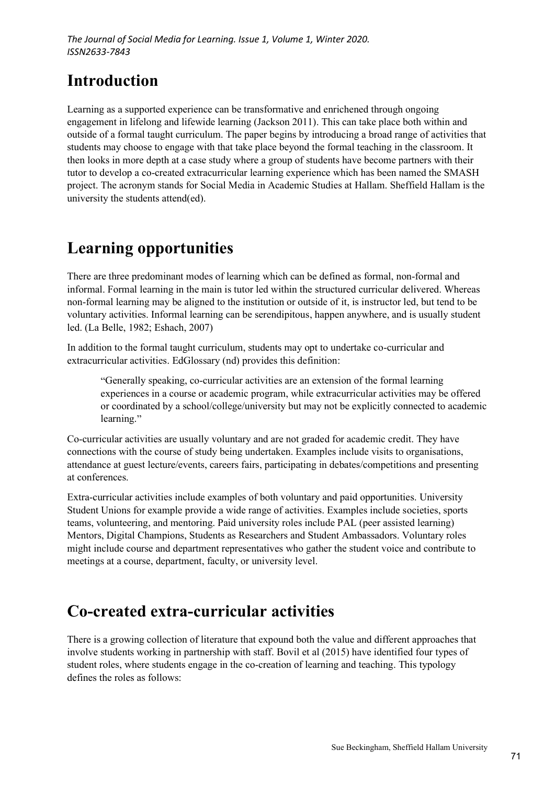# Introduction

The Journal of Social Media for Learning. Issue 1, Volume 1, Winter 2020.<br>
ISSN2633-7843<br> **Introduction**<br>
Learning as a supported experience can be transformative and enrichened through ongoing<br>
engagement in lifelong and The Journal of Social Media for Learning. Issue 1, Volume 1, Winter 2020.<br>
ISSN2633-7843<br> **Introduction**<br>
Learning as a supported experience can be transformative and enrichened through ongoing<br>
engagement in lifelong and The Journal of Social Media for Learning. Issue 1, Volume 1, Winter 2020.<br>
ISSN2633-7843<br> **Introduction**<br>
Learning as a supported experience can be transformative and enrichened through ongoing<br>
engagement in lifelong and The Journal of Social Media for Learning. Issue 1, Volume 1, Winter 2020.<br>
ISSN2633-7843<br> **Introduction**<br>
Learning as a supported experience can be transformative and enrichened through ongoing<br>
engagement in lifelong and The Journal of Social Media for Learning. Issue 1, Volume 1, Winter 2020.<br>
ISSN2633-7843<br>
Introduction<br>
Learning as a supported experience can be transformative and enrichened through ongoing<br>
engagement in lifelong and li tutor to develop a co-created extracurricular learning experience which has been named the SMASH project. The acronym stands for Social Media in Academic Studies at Hallam. Sheffield Hallam is the university the students attend(ed). The *lournal of Social Media for Learning. Issue 1, Volume 1, Winter 2020.*<br> *SSN2633-7843*<br> **Introduction**<br>
Learning as a supported experience can be transformative and enrichened through ongoing<br>
engagement in lifelong a **Introduction**<br>
Learning as a supported experience can be transformative and enrichened through ongoing<br>
engagement in lifelong and lifewide learning (Jackson 2011). This can take place both within and<br>
outside of a formal **Introduction**<br> **Learning** as a supported experience can be transformative and enrichened through ongoing<br>
engagement in lifelong and lifewide learning (Jackson 2011). This can take place both within and<br>
outside of a form **Example and Solution Constrained Solution** and contributed through ongoing<br>
Learning as supported experience can be transformative and enrichened through ongoing<br>
engagement in lifelong and lifewide learning (Jackson 2011

# Learning opportunities

informal. Formal learning in the main is tutor led within the structured curricular delivered. Whereas

In addition to the formal taught curriculum, students may opt to undertake co-curricular and extracurricular activities. EdGlossary (nd) provides this definition:

Generally speaking, co-curricular activities are an extension of the formal learning experiences in a course or academic program, while extracurricular activities may be offered or coordinated by a school/college/university but may not be explicitly connected to academic learning."

Co-curricular activities are usually voluntary and are not graded for academic credit. They have connections with the course of study being undertaken. Examples include visits to organisations, attendance at guest lecture/events, careers fairs, participating in debates/competitions and presenting at conferences.

There are three predominant modes of learning which can be defined as formal, non-formal and<br>informal. Formal learning in the main is tutor led within the structured curricular delivered. Whereas<br>non-formal learning may be There are three predominant modes of learning which can be defined as formal, non-formal and minional. Formal learning in the main is tutor led within the structured curricular delivered. Whereas in<br>on-formal learning may informal. Formal learning in the main is tutor led within the structured curricular delivered. Whereas<br>non-formal learning may be aliged to the institution or outside of it, is instructor led, but tend to be<br>voluntary acti non-formal learning may be aligned to the institution or outside of it, is instructor led, but tend to be voluntary activities. Informal learning can be serendipitous, happen anywhere, and is usually student velocited led. voluntary activities. Informal learning can be serendipitous, happen anywhere, and is usually student<br>
lead (I.a Belle, 1982; Fshach, 2007)<br>
aradition to the formal taught curriculum, students may opt to undertake co-curri led. (La Belle, 1982; Eshach, 2007)<br>
In addition to the formal taught curriculum, students may opt to undertake co-curricular and<br>
extracurricular activities. EdGlossary (nd) provides this definition:<br>
"Comerally speaking,

## Co-created extra-curricular activities

There is a growing collection of literature that expound both the value and different approaches that involve students working in partnership with staff. Bovil et al (2015) have identified four types of student roles, where students engage in the co-creation of learning and teaching. This typology defines the roles as follows: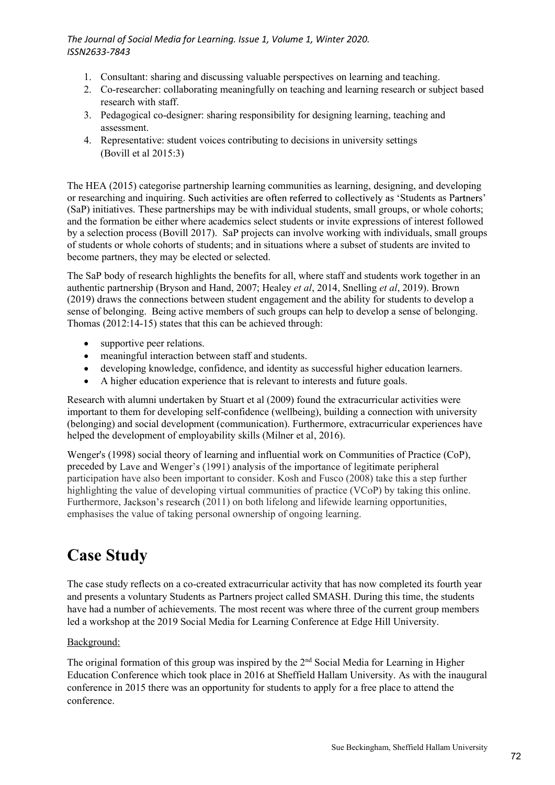- 
- 2001 Journal of Social Media for Learning. Issue 1, Volume 1, Winter 2020.<br>
20033-7843<br>
1. Consultant: sharing and discussing valuable perspectives on learning and teaching.<br>
2. Co-researcher: collaborating meaningfully on 2. Journal of Social Media for Learning. Issue 1, Volume 1, Winter 2020.<br>
2. Co-researcher: collaborating meaningfully on teaching and learning and teaching.<br>
2. Co-researcher: collaborating meaningfully on teaching and le research with staff. 3. Pedagogical co-designer: sharing and discussing valuable perspectives on learning and teaching.<br>
3. Co-researcher: collaborating meaningfully on teaching and learning and teaching.<br>
2. Co-researcher: collaborating meani 9. Journal of Social Media for Learning. Issue 1, Volume 1, Winter 2020.<br>
1. Consultant: sharing and discussing valuable perspectives on learning and teaching.<br>
2. Co-researcher: collaborating meaningfully on teaching and
- assessment.
- (Bovill et al 2015:3)

The Journal of Social Media for Learning. Issue 1, Volume 1, Winter 2020.<br>
ISSN2633-7843<br>
1. Consultant: sharing and discussing valuable perspectives on learning and teaching.<br>
2. Co-researcher: collaborating meaningfully or researching and inquiring. Such activities are often referred to collectively as 'Students as Partners' The Journal of Social Media for Learning. Issue 1, Volume 1, Winter 2020.<br>
SISN2633-7843<br>
1. Consultant: sharing and discussing valuable perspectives on learning and teaching.<br>
2. Co-researcher: collaborating meaningfully and the formation be either where academics select students or invite expressions of interest followed The Journal of Social Medio for Learning. Issue 1, Volume 1, Winter 2020.<br>
ISSN2633-7843<br>
1. Consultant: sharing and discussing valuable perspectives on learning and teaching.<br>
2. Co-researcher: collaborating meaningfully of students or whole cohorts of students; and in situations where a subset of students are invited to become partners, they may be elected or selected. 155N/2633-7843<br>
1. Consultant: sharing and discussing valuable perspectives on learning and teaching.<br>
2. Co-researcher: collaborating meaningfully on teaching and learning research or subject based<br>
1. exesencher: collab 1. Consultant: sharing and discussing valuable perspectives on learning and teaching.<br>
2. Co-researchetr: collaborating meaningfully on teaching and learning research or subject based<br>
research with staff.<br>
3. Pedagogical research with start.<br>
readagogical co-designer: sharing responsibility for designing learning, teaching and<br>
redagogical co-designer: sharing responsibility for designing learning, teaching and<br>
Representative: student voi assessment.<br>Representative: student voices contributing to decisions in university settings<br>(Bovill et al 2015:3)<br>A (2015) categorise partnership learning communities as learning, designing, and developing<br>ching and inquir Representative: student violets contributing to decisions in university settings<br>(Bovill et al 2015:3)<br>A (2015) categorise partnership learning communities as learning, designing, and developing<br>relinig and inquiring. Suc The HEA (2010) categorise parametriship learning communities as learning, dissigning, and developing<br>To researching and impuring. Such activities are often referred to collectively as "Students as Partners"<br>(SaP) initiati or researching and inquiring. Such activities are often referred to collectively as "Students as Partners"<br>
(SaP) initiatives. These partnerships may be with individual students, small groups, or whole colorts;<br>
and the fo

The SaP body of research highlights the benefits for all, where staff and students work together in an sense of belonging. Being active members of such groups can help to develop a sense of belonging. Thomas (2012:14-15) states that this can be achieved through:

- 
- meaningful interaction between staff and students.
- 
- 

Research with alumni undertaken by Stuart et al (2009) found the extracurricular activities were important to them for developing self-confidence (wellbeing), building a connection with university

Wenger's (1998) social theory of learning and influential work on Communities of Practice (CoP), preceded by Lave and Wenger's (1991) analysis of the importance of legitimate peripheral participation have also been important to consider. Kosh and Fusco (2008) take this a step further become partners, they may be clected or selected.<br>
The SaP body of research highlights the benefits for all, where staff and students work together in an authoric partnership (Bryson and Hand, 2007), Healy et al, 20114, S Furthermore, Jackson's research (2011) on both lifelong and lifewide learning opportunities, emphasises the value of taking personal ownership of ongoing learning. **•** supprefixe per relations.<br>
• meaningful interaction between staff and students.<br>
• A higher education lexperience that is relevant to interests and future goals.<br> **Esearch with alumni undertaken by Stuart et al (2009) •** meaningul interaction between staft and students.<br>
• developing knowledge, confidence, and identity as successful higher education learners.<br>
• A higher education experience that is relevant to interests and future goa **•** Casse costimis a such that the most react that the secessital interest and the calible reduction experience that is relevant to interests and future goals.<br>Research with alumni undertaken by Stuart et al (2009) found (belonging) and social development (communication). Furthermore, extracurricular experiences have<br>the<br>helped the development of employability skills (Milner et al., 2016).<br>
Wenger's (1998) social theory of learning and in helped the development of employability skills (Milner et al. 2016).<br>Wenger's (1998) social theory of learning and influential work on Conmunities of Practice (CoP),<br>Preceded by Lave and Wenger's (1991) analysis of the im

# Case Study

led a workshop at the 2019 Social Media for Learning Conference at Edge Hill University.

#### Background:

conference in 2015 there was an opportunity for students to apply for a free place to attend the conference.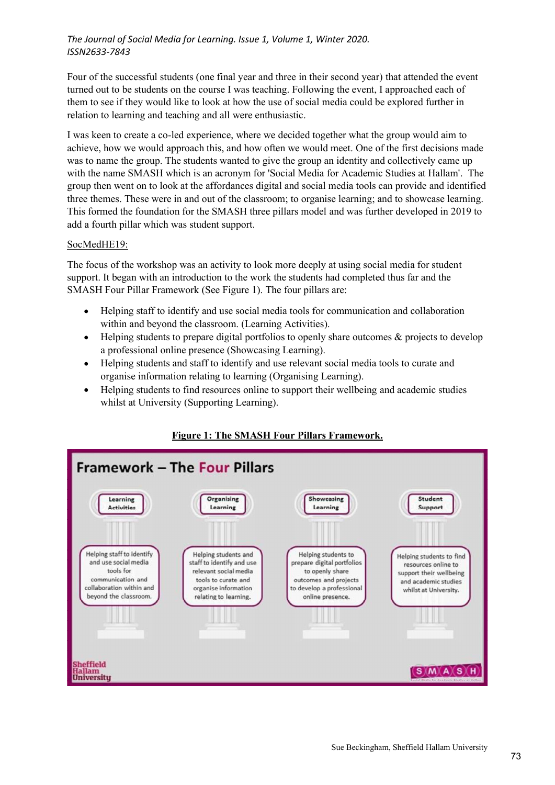The Journal of Social Media for Learning. Issue 1, Volume 1, Winter 2020.<br>ISSN2633-7843<br>Four of the successful students (one final year and three in their second year) that attended the event<br>turned out to be students on t The Journal of Social Media for Learning. Issue 1, Volume 1, Winter 2020.<br>ISSN2633-7843<br>Four of the successful students (one final year and three in their second year) that attended the event<br>turned out to be students on t The Journal of Social Media for Learning. Issue 1, Volume 1, Winter 2020.<br>ISSN2633-7843<br>Four of the successful students (one final year and three in their second year) that attended the event<br>turned out to be students on t

The Journal of Social Media for Learning. Issue 1, Volume 1, Winter 2020.<br>ISSN2633-7843<br>Four of the successful students (one final year and three in their second year) that attended the event<br>turned out to be students on t I was keen to create a co-led experience, where we decided together what the group would aim to The Journal of Social Media for Learning. Issue 1, Volume 1, Winter 2020.<br>
ISSN2633-7843<br>
Four of the successful students (one final year and three in their second year) that attended the event<br>
turned out to be students o was to name the group. The students wanted to give the group an identity and collectively came up The Journal of Social Media for Learning. Issue 1, Volume 1, Winter 2020.<br>
ISSN2633-7843<br>
Four of the successful students (one final year and three in their second year) that attended the event<br>
turned out to be students o The Journal of Social Media for Learning. Issue 1, Volume 1, Winter 2020.<br>ISSN2633-7843<br>Four of the successful students (one final year and three in their second year) that attended the event<br>themed out to be statehs on th The Journal of Social Media for Learning. Issue 1, Volume 1, Winter 2020.<br>
ISSN2633-7843<br>
Four of the successful students (one final year and three in their second year) that attended the event<br>
turned out to be students o The Journal of Social Media for Learning. Issue 1, Volume 1, Winter 2020.<br>ISSN2633-7843<br>Four of the successful students (one final year and three in their second year) that attended the event<br>turned out to be students on t The Journal of Social Media for Learning. Issue 1, Volume 1, Winter 2020.<br>
ISSN2633-7843<br>
Four of the successful students (one final year and three in their second year) that attended the event<br>
turned out to be students o ut to be students on the course I was teaching. Following the event, I approached eactse if they would like to look at how the use of social media could be explored further to learning and teaching and all were enthusiasti en to create a co-led experience, where we decided together what the group would aim to how we would approach this, and how often we would meet. One of the first decisions made name the group. The students wanted to give t How we wond approach this, and now online we would meet online to their decisions make the group. The students wanted to give the group an identity and collectively came up<br>name SMASH which is an acronym for Social Media f

#### SocMedHE19:

The focus of the workshop was an activity to look more deeply at using social media for student support. It began with an introduction to the work the students had completed thus far and the SMASH Four Pillar Framework (See Figure 1). The four pillars are:

- Helping staff to identify and use social media tools for communication and collaboration
- Helping students to prepare digital portfolios to openly share outcomes & projects to develop  $\bullet$ a professional online presence (Showcasing Learning).
- organise information relating to learning (Organising Learning).
- $\bullet$ whilst at University (Supporting Learning).



#### Figure 1: The SMASH Four Pillars Framework.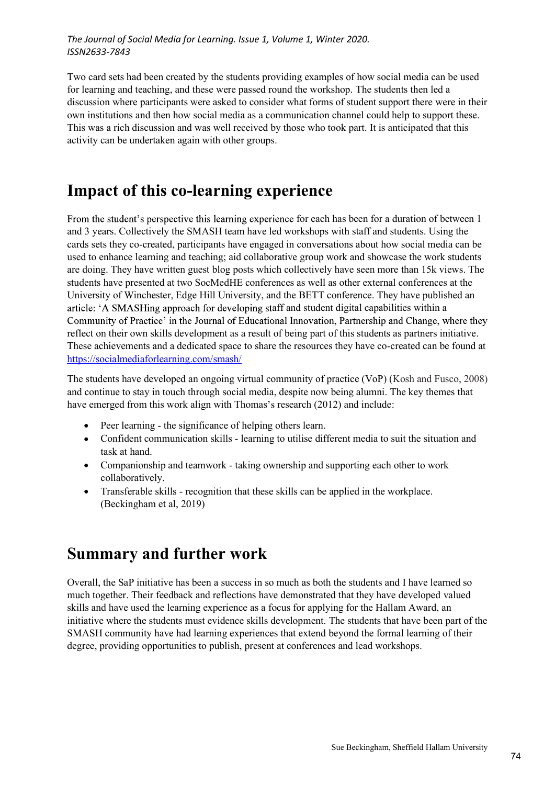The Journal of Social Media for Learning. Issue 1, Volume 1, Winter 2020.<br>ISSN2633-7843<br>Two card sets had been created by the students providing examples of how social media can be used<br>for learning and teaching, and these for learning and teaching, and these were passed round the workshop. The students then led a discussion where participants were asked to consider what forms of student support there were in their own institutions and then how social media as a communication channel could help to support these. This was a rich discussion and was well received by those who took part. It is anticipated that this activity can be undertaken again with other groups. **Examples of how social media can be used**<br>the workshop. The students then led a<br>aat forms of student support there were in their<br>inciation channel could help to support these.<br>se who took part. It is anticipated that this

# Impact of this co-learning experience

and 3 years. Collectively the SMASH team have led workshops with staff and students. Using the The Journal of Social Media for Learning. Issue 1, Volume 1, Winter 2020.<br>
ISSN2633-7843<br>
Two card sets had been created by the students providing examples of how social media can be used<br>
for learning and teaching, and th used to enhance learning and teaching; aid collaborative group work and showcase the work students The Journal of Social Media for Learning. Issue 1, Volume 1, Winter 2020.<br>
ISSN2633-7843<br>
Two card sets had been created by the students providing examples of how social media can be used<br>
of relaming and taching, and thes students have presented at two SocMedHE conferences as well as other external conferences at the University of Winchester, Edge Hill University, and the BETT conference. They have published an article: 'A SMASHing approach for developing staff and student digital capabilities within a reflect on their own skills development as a result of being part of this students as partners initiative. These achievements and a dedicated space to share the resources they have co-created can be found at https://socialmediaforlearning.com/smash/ **Impact of this co-learning experience**<br> **Impact of this co-learning experience**<br>
From the student's perspective this learning experience for each has been for a duration of between 1<br>
and 3 years. Collectively the SMASH t **Impact of this co-learning experience**<br>
From the student's perspective this learning experience for each has been for a duration of between 1<br>
and 3 years. Collectively the SMASH team have led workshops with staff and st **Impact of this co-learning experience**<br>
From the student's perspective this learning experience for each has been for a duration of between 1<br>
and 3 years. Collectively the SMASH team have led workshops with staff and st **act of this co-learning experience**<br>
e student's perspective this learning experience for each has been for a duration of betwee<br>
rass. Collectively the SMASH team have led workshops with staff and students. Using the<br>
ts e student's perspective this learning experience for each has been for a duration of between 1<br>ars. Collectively the SMASH team have led workshops with staff and students. Using the<br>st hey co-created, participants have eng ars. Collectively the SMASH team have led workshops with staff and students. Using the its they co-created, participants have engaged in conversions about how social media can be the nhave clearing and teaching; aid collab enhance learning and teaching; aid collaborative group work and showcase the work students<br>g. They have written guest blog posts which collectively have seen more than 15K views. The<br>have presented at two SocMedHIE confere g. They have written guest blog posts which collectively have seen more than 15k views. The have presented at two SocMedHE conferences as well as other external conferences at the sty of Winchester, Edge Hill University, a

- 
- task at hand.
- collaboratively.
- 

# Summary and further work

These achievements and a dedicated space to share the resources they have co-created can be found at<br>
https://socialmediaforlearning.com/smash/<br>
The students have developed an ongoing virtual community of practice (VoP) ( Mups://socialmediaforlesming.com/smash/<br>
The students have developed an ongoing virtual community of practice (VoP) (Kosh and Fusco, 2008)<br>
and continue to stay in touch through social media, despite now being alumni. The skills and have used the learning experience as a focus for applying for the Hallam Award, an ine students and continue to except and continue to the students must compute the students are development and the students must even the student must be the student must be the student must be the student of the student o SMASH community have had learning experiences that extend beyond the formal learning of their degree, providing opportunities to publish, present at conferences and lead workshops.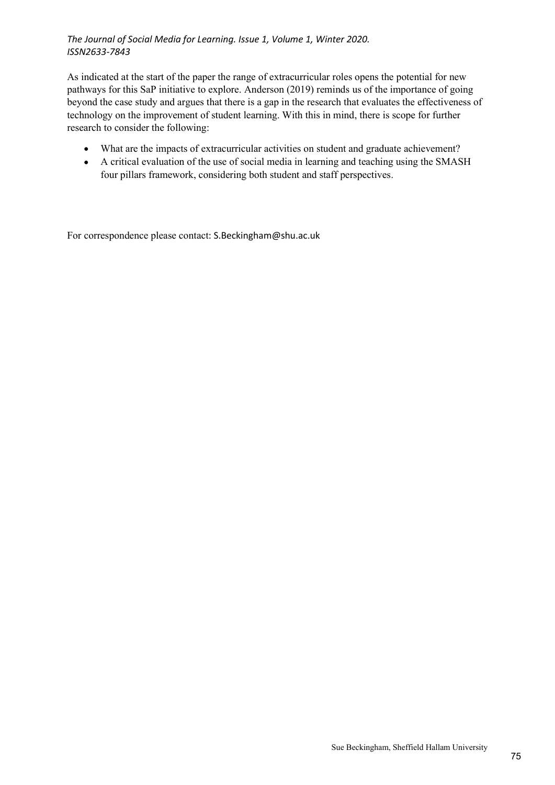As indicated at the start of the paper the range of extracurricular roles opens the potential for new The Journal of Social Media for Learning. Issue 1, Volume 1, Winter 2020.<br>
ISSN2633-7843<br>
As indicated at the start of the paper the range of extracurricular roles opens the potential for new<br>
pathways for this SaP initiat beyond the case study and argues that there is a gap in the research that evaluates the effectiveness of The Journal of Social Media for Learning. Issue 1, Volume 1, Winter 2020.<br>
ISSN2633-7843<br>
As indicated at the start of the paper the range of extracurricular roles opens the potential for new<br>
pathways for this SaP initiat research to consider the following: rnal of Social Media for Learning. Issue 1, Volume 1, Winter 2020.<br>3-7843<br>dated at the start of the paper the range of extracurricular roles opens the potential for new<br>s for this SaP initiative to explore. Anderson (2019)

- What are the impacts of extracurricular activities on student and graduate achievement?
- A critical evaluation of the use of social media in learning and teaching using the SMASH

For correspondence please contact: S.Beckingham@shu.ac.uk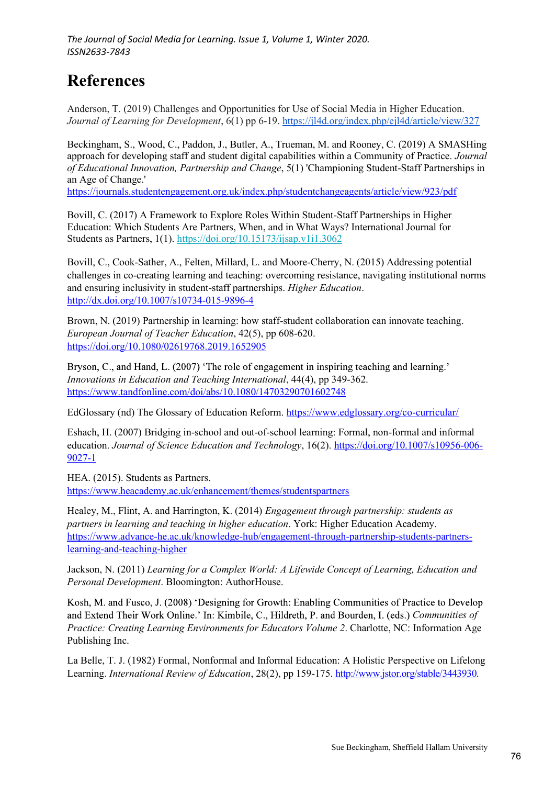## References

Anderson, T. (2019) Challenges and Opportunities for Use of Social Media in Higher Education. Journal of Learning for Development, 6(1) pp 6-19. https://jl4d.org/index.php/ejl4d/article/view/327

Beckingham, S., Wood, C., Paddon, J., Butler, A., Trueman, M. and Rooney, C. (2019) A SMASHing approach for developing staff and student digital capabilities within a Community of Practice. Journal of Educational Innovation, Partnership and Change, 5(1) 'Championing Student-Staff Partnerships in an Age of Change.'

https://journals.studentengagement.org.uk/index.php/studentchangeagents/article/view/923/pdf

Bovill, C. (2017) A Framework to Explore Roles Within Student-Staff Partnerships in Higher Education: Which Students Are Partners, When, and in What Ways? International Journal for Students as Partners, 1(1). https://doi.org/10.15173/ijsap.v1i1.3062

The Journal of Social Media for Learning. Issue 1, Volume 1, Winter 2020.<br>
ISSN2633-7843<br> **References**<br>
Anderson, T. (2019) Challenges and Opportunities for Use of Social Media in Higher Education.<br> *Journal of Learning fo* challenges in co-creating learning and teaching: overcoming resistance, navigating institutional norms and ensuring inclusivity in student-staff partnerships. Higher Education. http://dx.doi.org/10.1007/s10734-015-9896-4 Beckingham, S., Wood, C., Paddon, J., Butler, A., Trueman, M. and Rooney, C. (2019) A SMASHing<br>approach for developing staff and student digital capabilities within a Community of Practice. Journal<br>of *Chactional Innovatio* 

Brown, N. (2019) Partnership in learning: how staff-student collaboration can innovate teaching. European Journal of Teacher Education, 42(5), pp 608-620. https://doi.org/10.1080/02619768.2019.1652905

https://www.tandfonline.com/doi/abs/10.1080/14703290701602748

EdGlossary (nd) The Glossary of Education Reform. https://www.edglossary.org/co-curricular/

Eshach, H. (2007) Bridging in-school and out-of-school learning: Formal, non-formal and informal education. Journal of Science Education and Technology, 16(2). https://doi.org/10.1007/s10956-006- 9027-1

HEA. (2015). Students as Partners. https://www.heacademy.ac.uk/enhancement/themes/studentspartners

Healey, M., Flint, A. and Harrington, K. (2014) Engagement through partnership: students as partners in learning and teaching in higher education. York: Higher Education Academy. https://www.advance-he.ac.uk/knowledge-hub/engagement-through-partnership-students-partnerslearning-and-teaching-higher

Jackson, N. (2011) Learning for a Complex World: A Lifewide Concept of Learning, Education and Personal Development. Bloomington: AuthorHouse.

Kosh, M. and Fusco, J. (2008) 'Designing for Growth: Enabling Communities of Practice to Develop and Extend Their Work Online.' In: Kimbile, C., Hildreth, P. and Bourden, I. (eds.) Communities of Practice: Creating Learning Environments for Educators Volume 2. Charlotte, NC: Information Age Publishing Inc.

La Belle, T. J. (1982) Formal, Nonformal and Informal Education: A Holistic Perspective on Lifelong Learning. International Review of Education, 28(2), pp 159-175. http://www.jstor.org/stable/3443930.